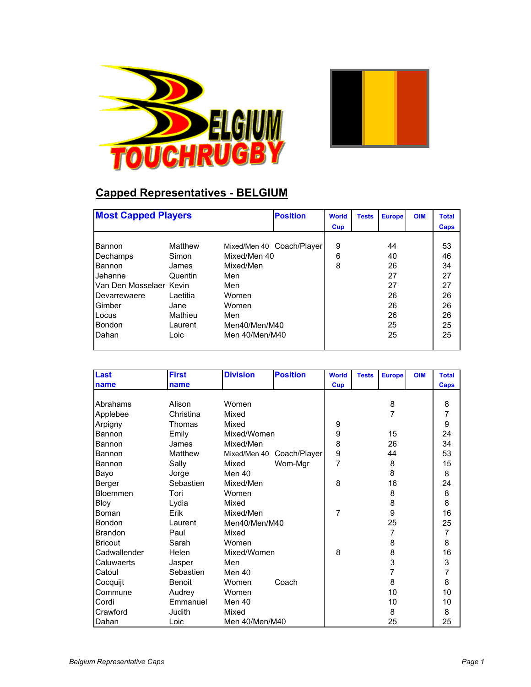



## **Capped Representatives - BELGIUM**

|                         | <b>Most Capped Players</b> |                |                           | <b>World</b> | <b>Tests</b> | <b>Europe</b> | <b>OIM</b> | <b>Total</b> |
|-------------------------|----------------------------|----------------|---------------------------|--------------|--------------|---------------|------------|--------------|
|                         |                            |                |                           | Cup          |              |               |            | Caps         |
|                         |                            |                |                           |              |              |               |            |              |
| Bannon                  | Matthew                    |                | Mixed/Men 40 Coach/Player | 9            |              | 44            |            | 53           |
| Dechamps                | Simon                      | Mixed/Men 40   |                           | 6            |              | 40            |            | 46           |
| <b>Bannon</b>           | James                      | Mixed/Men      |                           | 8            |              | 26            |            | 34           |
| Jehanne                 | Quentin                    | Men            |                           |              |              | 27            |            | 27           |
| Van Den Mosselaer Kevin |                            | Men            |                           |              |              | 27            |            | 27           |
| Devarrewaere            | I aetitia                  | Women          |                           |              |              | 26            |            | 26           |
| Gimber                  | Jane                       | Women          |                           |              |              | 26            |            | 26           |
| Locus                   | Mathieu                    | Men            |                           |              |              | 26            |            | 26           |
| <b>Bondon</b>           | Laurent                    | Men40/Men/M40  |                           |              |              | 25            |            | 25           |
| Dahan                   | Loic                       | Men 40/Men/M40 |                           |              |              | 25            |            | 25           |
|                         |                            |                |                           |              |              |               |            |              |

| Last           | <b>First</b>  | <b>Division</b> | <b>Position</b>           | <b>World</b> | <b>Tests</b> | <b>Europe</b>  | <b>OIM</b> | <b>Total</b>   |
|----------------|---------------|-----------------|---------------------------|--------------|--------------|----------------|------------|----------------|
| name           | name          |                 |                           | <b>Cup</b>   |              |                |            | Caps           |
|                |               |                 |                           |              |              |                |            |                |
| Abrahams       | Alison        | Women           |                           |              |              | 8              |            | 8              |
| Applebee       | Christina     | Mixed           |                           |              |              | $\overline{7}$ |            | $\overline{7}$ |
| Arpigny        | Thomas        | Mixed           |                           | 9            |              |                |            | 9              |
| Bannon         | Emily         | Mixed/Women     |                           | 9            |              | 15             |            | 24             |
| Bannon         | James         | Mixed/Men       |                           | 8            |              | 26             |            | 34             |
| <b>Bannon</b>  | Matthew       |                 | Mixed/Men 40 Coach/Player | 9            |              | 44             |            | 53             |
| Bannon         | Sally         | Mixed           | Wom-Mgr                   | 7            |              | 8              |            | 15             |
| Bayo           | Jorge         | Men 40          |                           |              |              | 8              |            | 8              |
| Berger         | Sebastien     | Mixed/Men       |                           | 8            |              | 16             |            | 24             |
| Bloemmen       | Tori          | Women           |                           |              |              | 8              |            | 8              |
| Bloy           | Lydia         | Mixed           |                           |              |              | 8              |            | 8              |
| <b>Boman</b>   | Erik          | Mixed/Men       |                           | 7            |              | 9              |            | 16             |
| Bondon         | Laurent       | Men40/Men/M40   |                           |              |              | 25             |            | 25             |
| <b>Brandon</b> | Paul          | Mixed           |                           |              |              | 7              |            | $\overline{7}$ |
| <b>Bricout</b> | Sarah         | Women           |                           |              |              | 8              |            | 8              |
| Cadwallender   | Helen         | Mixed/Women     |                           | 8            |              | 8              |            | 16             |
| Caluwaerts     | Jasper        | Men             |                           |              |              | 3              |            | 3              |
| Catoul         | Sebastien     | Men 40          |                           |              |              | 7              |            | $\overline{7}$ |
| Cocquijt       | <b>Benoit</b> | Women           | Coach                     |              |              | 8              |            | 8              |
| Commune        | Audrey        | Women           |                           |              |              | 10             |            | 10             |
| Cordi          | Emmanuel      | Men 40          |                           |              |              | 10             |            | 10             |
| Crawford       | Judith        | Mixed           |                           |              |              | 8              |            | 8              |
| Dahan          | Loic          | Men 40/Men/M40  |                           |              |              | 25             |            | 25             |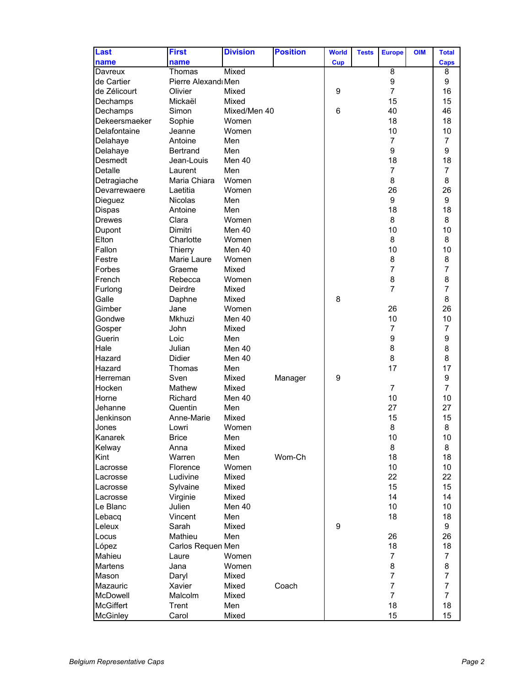| Last             | <b>First</b>        | <b>Division</b> | <b>Position</b> | <b>World</b> | <b>Tests</b> | <b>Europe</b>  | <b>OIM</b> | <b>Total</b>   |
|------------------|---------------------|-----------------|-----------------|--------------|--------------|----------------|------------|----------------|
| name             | name                |                 |                 | Cup          |              |                |            | Caps           |
| Davreux          | Thomas              | Mixed           |                 |              |              | 8              |            | 8              |
| de Cartier       | Pierre Alexandı Men |                 |                 |              |              | 9              |            | 9              |
| de Zélicourt     | Olivier             | Mixed           |                 | 9            |              | $\overline{7}$ |            | 16             |
| Dechamps         | Mickaël             | Mixed           |                 |              |              | 15             |            | 15             |
| Dechamps         | Simon               | Mixed/Men 40    |                 | 6            |              | 40             |            | 46             |
| Dekeersmaeker    | Sophie              | Women           |                 |              |              | 18             |            | 18             |
| Delafontaine     | Jeanne              | Women           |                 |              |              | 10             |            | 10             |
| Delahaye         | Antoine             | Men             |                 |              |              | $\overline{7}$ |            | $\overline{7}$ |
| Delahaye         | <b>Bertrand</b>     | Men             |                 |              |              | 9              |            | 9              |
| Desmedt          | Jean-Louis          | Men 40          |                 |              |              | 18             |            | 18             |
| Detalle          | Laurent             | Men             |                 |              |              | $\overline{7}$ |            | $\overline{7}$ |
| Detragiache      | Maria Chiara        | Women           |                 |              |              | 8              |            | 8              |
| Devarrewaere     | Laetitia            | Women           |                 |              |              | 26             |            | 26             |
| Dieguez          | <b>Nicolas</b>      | Men             |                 |              |              | 9              |            | 9              |
| Dispas           | Antoine             | Men             |                 |              |              | 18             |            | 18             |
| <b>Drewes</b>    | Clara               | Women           |                 |              |              | 8              |            | 8              |
| Dupont           | Dimitri             | Men 40          |                 |              |              | 10             |            | 10             |
| Elton            | Charlotte           | Women           |                 |              |              | 8              |            | 8              |
| Fallon           | Thierry             | Men 40          |                 |              |              | 10             |            | 10             |
| Festre           | Marie Laure         | Women           |                 |              |              | 8              |            | 8              |
| Forbes           | Graeme              | Mixed           |                 |              |              | $\overline{7}$ |            | $\overline{7}$ |
| French           | Rebecca             | Women           |                 |              |              | 8              |            | 8              |
| Furlong          | Deirdre             | Mixed           |                 |              |              | $\overline{7}$ |            | $\overline{7}$ |
| Galle            | Daphne              | Mixed           |                 | 8            |              |                |            | 8              |
| Gimber           | Jane                | Women           |                 |              |              | 26             |            | 26             |
| Gondwe           | Mkhuzi              | Men 40          |                 |              |              | 10             |            | 10             |
| Gosper           | John                | Mixed           |                 |              |              | $\overline{7}$ |            | $\overline{7}$ |
| Guerin           | Loic                | Men             |                 |              |              | 9              |            | 9              |
| Hale             | Julian              | Men 40          |                 |              |              | 8              |            | 8              |
| Hazard           | Didier              | Men 40          |                 |              |              | 8              |            | 8              |
| Hazard           | Thomas              | Men             |                 |              |              | 17             |            | 17             |
| Herreman         | Sven                | Mixed           | Manager         | 9            |              |                |            | 9              |
| Hocken           | Mathew              | Mixed           |                 |              |              | $\overline{7}$ |            | $\overline{7}$ |
| Horne            | Richard             | Men 40          |                 |              |              | 10             |            | 10             |
| Jehanne          | Quentin             | Men             |                 |              |              | 27             |            | 27             |
| Jenkinson        | Anne-Marie          | Mixed           |                 |              |              | 15             |            | 15             |
| Jones            | Lowri               | Women           |                 |              |              | 8              |            | 8              |
| Kanarek          | <b>Brice</b>        | Men             |                 |              |              | 10             |            | 10             |
| Kelway           | Anna                | Mixed           |                 |              |              | 8              |            | 8              |
| Kint             | Warren              | Men             | Wom-Ch          |              |              | 18             |            | 18             |
| Lacrosse         | Florence            | Women           |                 |              |              | 10             |            | 10             |
| Lacrosse         | Ludivine            | Mixed           |                 |              |              | 22             |            | 22             |
| Lacrosse         | Sylvaine            | Mixed           |                 |              |              | 15             |            | 15             |
| Lacrosse         | Virginie            | Mixed           |                 |              |              | 14             |            | 14             |
| Le Blanc         | Julien              | Men 40          |                 |              |              | 10             |            | 10             |
| Lebacq           | Vincent             | Men             |                 |              |              | 18             |            | 18             |
| Leleux           | Sarah               | Mixed           |                 | 9            |              |                |            | 9              |
| Locus            | Mathieu             | Men             |                 |              |              | 26             |            | 26             |
| López            | Carlos Requen Men   |                 |                 |              |              | 18             |            | 18             |
| Mahieu           | Laure               | Women           |                 |              |              | $\overline{7}$ |            | $\overline{7}$ |
| Martens          | Jana                | Women           |                 |              |              | 8              |            | 8              |
| Mason            | Daryl               | Mixed           |                 |              |              | $\overline{7}$ |            | $\overline{7}$ |
| Mazauric         | Xavier              | Mixed           | Coach           |              |              | $\overline{7}$ |            | $\overline{7}$ |
| McDowell         | Malcolm             | Mixed           |                 |              |              | $\overline{7}$ |            | $\overline{7}$ |
| <b>McGiffert</b> | Trent               | Men             |                 |              |              | 18             |            | 18             |
| <b>McGinley</b>  | Carol               | Mixed           |                 |              |              | 15             |            | 15             |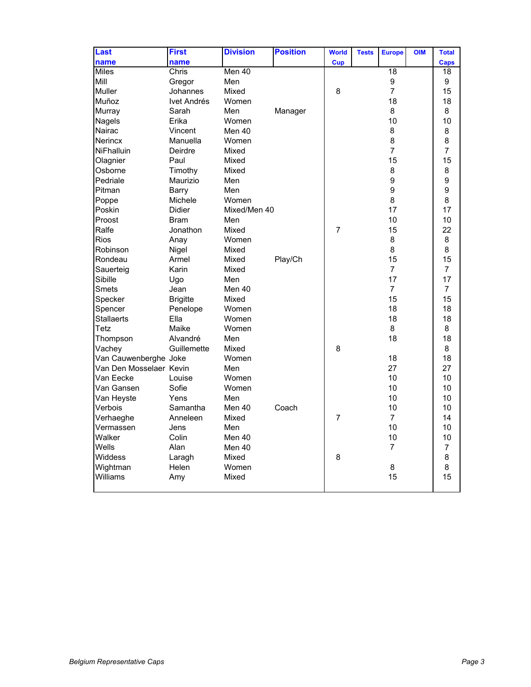| Last                    | <b>First</b>    | <b>Division</b> | <b>Position</b> | <b>World</b>   | <b>Tests</b> | <b>Europe</b>   | <b>OIM</b> | <b>Total</b>    |
|-------------------------|-----------------|-----------------|-----------------|----------------|--------------|-----------------|------------|-----------------|
| name                    | name            |                 |                 | Cup            |              |                 |            | Caps            |
| <b>Miles</b>            | Chris           | Men 40          |                 |                |              | $\overline{18}$ |            | $\overline{18}$ |
| Mill                    | Gregor          | Men             |                 |                |              | 9               |            | 9               |
| Muller                  | Johannes        | Mixed           |                 | 8              |              | $\overline{7}$  |            | 15              |
| Muñoz                   | Ivet Andrés     | Women           |                 |                |              | 18              |            | 18              |
| Murray                  | Sarah           | Men             | Manager         |                |              | 8               |            | 8               |
| Nagels                  | Erika           | Women           |                 |                |              | 10              |            | 10              |
| Nairac                  | Vincent         | Men 40          |                 |                |              | 8               |            | 8               |
| <b>Nerincx</b>          | Manuella        | Women           |                 |                |              | 8               |            | 8               |
| <b>NiFhalluin</b>       | Deirdre         | Mixed           |                 |                |              | $\overline{7}$  |            | $\overline{7}$  |
| Olagnier                | Paul            | Mixed           |                 |                |              | 15              |            | 15              |
| Osborne                 | Timothy         | Mixed           |                 |                |              | 8               |            | 8               |
| Pedriale                | Maurizio        | Men             |                 |                |              | 9               |            | 9               |
| Pitman                  | Barry           | Men             |                 |                |              | 9               |            | 9               |
| Poppe                   | Michele         | Women           |                 |                |              | 8               |            | 8               |
| Poskin                  | <b>Didier</b>   | Mixed/Men 40    |                 |                |              | 17              |            | 17              |
| Proost                  | <b>Bram</b>     | Men             |                 |                |              | 10              |            | 10              |
| Ralfe                   | Jonathon        | Mixed           |                 | $\overline{7}$ |              | 15              |            | 22              |
| <b>Rios</b>             | Anay            | Women           |                 |                |              | 8               |            | 8               |
| Robinson                | Nigel           | Mixed           |                 |                |              | 8               |            | 8               |
| Rondeau                 | Armel           | Mixed           | Play/Ch         |                |              | 15              |            | 15              |
| Sauerteig               | Karin           | Mixed           |                 |                |              | $\overline{7}$  |            | $\overline{7}$  |
| Sibille                 | Ugo             | Men             |                 |                |              | 17              |            | 17              |
| <b>Smets</b>            | Jean            | Men 40          |                 |                |              | $\overline{7}$  |            | $\overline{7}$  |
| Specker                 | <b>Brigitte</b> | Mixed           |                 |                |              | 15              |            | 15              |
| Spencer                 | Penelope        | Women           |                 |                |              | 18              |            | 18              |
| Stallaerts              | Ella            | Women           |                 |                |              | 18              |            | 18              |
| Tetz                    | Maike           | Women           |                 |                |              | 8               |            | 8               |
| Thompson                | Alvandré        | Men             |                 |                |              | 18              |            | 18              |
| Vachey                  | Guillemette     | Mixed           |                 | 8              |              |                 |            | 8               |
| Van Cauwenberghe Joke   |                 | Women           |                 |                |              | 18              |            | 18              |
| Van Den Mosselaer Kevin |                 | Men             |                 |                |              | 27              |            | 27              |
| Van Eecke               | Louise          | Women           |                 |                |              | 10              |            | 10              |
| Van Gansen              | Sofie           | Women           |                 |                |              | 10              |            | 10              |
| Van Heyste              | Yens            | Men             |                 |                |              | 10              |            | 10              |
| Verbois                 | Samantha        | Men 40          | Coach           |                |              | 10              |            | 10              |
| Verhaeghe               | Anneleen        | Mixed           |                 | 7              |              | $\overline{7}$  |            | 14              |
| Vermassen               | Jens            | Men             |                 |                |              | 10              |            | 10              |
| Walker                  | Colin           | Men 40          |                 |                |              | 10              |            | 10              |
| Wells                   | Alan            | Men 40          |                 |                |              | $\overline{7}$  |            | $\overline{7}$  |
| Widdess                 | Laragh          | Mixed           |                 | 8              |              |                 |            | 8               |
| Wightman                | Helen           | Women           |                 |                |              | 8               |            | 8               |
| Williams                | Amy             | Mixed           |                 |                |              | 15              |            | 15              |
|                         |                 |                 |                 |                |              |                 |            |                 |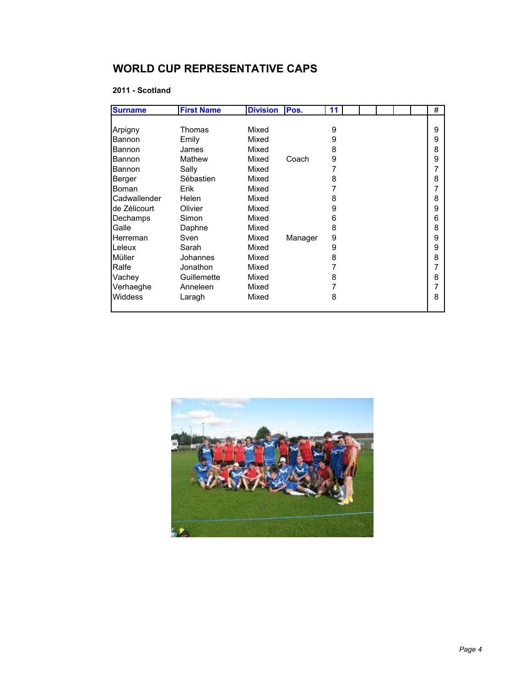## **WORLD CUP REPRESENTATIVE CAPS**

## **2011 - Scotland**

| <b>Surname</b> | <b>First Name</b> | <b>Division</b> | Pos.    | 11 |  |  | # |
|----------------|-------------------|-----------------|---------|----|--|--|---|
|                |                   |                 |         |    |  |  |   |
| Arpigny        | Thomas            | Mixed           |         | 9  |  |  | 9 |
| Bannon         | Emily             | Mixed           |         | 9  |  |  | 9 |
| Bannon         | James             | Mixed           |         | 8  |  |  | 8 |
| Bannon         | Mathew            | Mixed           | Coach   | 9  |  |  | 9 |
| Bannon         | Sally             | Mixed           |         |    |  |  | 7 |
| Berger         | Sébastien         | Mixed           |         | 8  |  |  | 8 |
| Boman          | Erik              | Mixed           |         |    |  |  | 7 |
| Cadwallender   | Helen             | Mixed           |         | 8  |  |  | 8 |
| de Zélicourt   | Olivier           | Mixed           |         | 9  |  |  | 9 |
| Dechamps       | Simon             | Mixed           |         | 6  |  |  | 6 |
| Galle          | Daphne            | Mixed           |         | 8  |  |  | 8 |
| Herreman       | Sven              | Mixed           | Manager | 9  |  |  | 9 |
| Leleux         | Sarah             | Mixed           |         | 9  |  |  | 9 |
| Müller         | Johannes          | Mixed           |         | 8  |  |  | 8 |
| <b>Ralfe</b>   | Jonathon          | Mixed           |         |    |  |  | 7 |
| Vachey         | Guillemette       | Mixed           |         | 8  |  |  | 8 |
| Verhaeghe      | Anneleen          | Mixed           |         |    |  |  | 7 |
| <b>Widdess</b> | Laragh            | Mixed           |         | 8  |  |  | 8 |
|                |                   |                 |         |    |  |  |   |

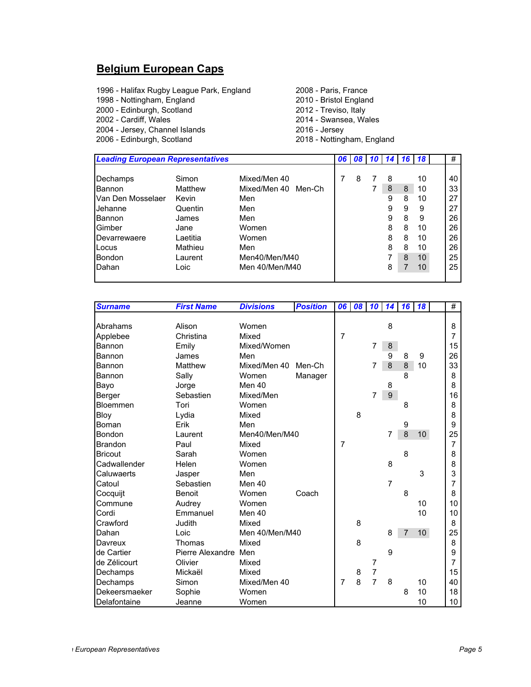## **Belgium European Caps**

1996 - Halifax Rugby League Park, England 2008 - Paris, France<br>1998 - Nottingham, England 2010 - Bristol England 1998 - Nottingham, England 2000 - Edinburgh, Scotland 2012 - Treviso, Italy 2014 - Swansea, Wales<br>2016 - Jersey 2004 - Jersey, Channel Islands<br>2006 - Edinburgh, Scotland 2018 - Nottingham, England

| Mixed/Men 40<br>Mixed/Men 40<br>Men-Ch |                                                   | 8 | 8 |   | 10 | 40 |
|----------------------------------------|---------------------------------------------------|---|---|---|----|----|
|                                        |                                                   |   |   |   |    |    |
|                                        |                                                   |   |   |   |    |    |
|                                        |                                                   |   | 8 | 8 | 10 | 33 |
|                                        |                                                   |   | 9 | 8 | 10 | 27 |
|                                        |                                                   |   | 9 | 9 | 9  | 27 |
|                                        |                                                   |   | 9 | 8 | 9  | 26 |
|                                        |                                                   |   | 8 | 8 | 10 | 26 |
|                                        |                                                   |   | 8 | 8 | 10 | 26 |
|                                        |                                                   |   | 8 | 8 | 10 | 26 |
|                                        |                                                   |   | 7 | 8 | 10 | 25 |
|                                        |                                                   |   | 8 |   | 10 | 25 |
|                                        | Women<br>Women<br>Men40/Men/M40<br>Men 40/Men/M40 |   |   |   |    |    |

| <b>Surname</b> | <b>First Name</b>    | <b>Divisions</b> | <b>Position</b> | 06             | 08 | 10             | 14             | 16 | 18 | #              |
|----------------|----------------------|------------------|-----------------|----------------|----|----------------|----------------|----|----|----------------|
|                |                      |                  |                 |                |    |                |                |    |    |                |
| Abrahams       | Alison               | Women            |                 |                |    |                | 8              |    |    | 8              |
| Applebee       | Christina            | Mixed            |                 | $\overline{7}$ |    |                |                |    |    | $\overline{7}$ |
| Bannon         | Emily                | Mixed/Women      |                 |                |    | 7              | $\bf 8$        |    |    | 15             |
| Bannon         | James                | Men              |                 |                |    |                | 9              | 8  | 9  | 26             |
| Bannon         | Matthew              | Mixed/Men 40     | Men-Ch          |                |    | 7              | 8              | 8  | 10 | 33             |
| Bannon         | Sally                | Women            | Manager         |                |    |                |                | 8  |    | 8              |
| Bayo           | Jorge                | Men 40           |                 |                |    |                | 8              |    |    | 8              |
| Berger         | Sebastien            | Mixed/Men        |                 |                |    | 7              | 9 <sup>°</sup> |    |    | 16             |
| Bloemmen       | Tori                 | Women            |                 |                |    |                |                | 8  |    | 8              |
| Bloy           | Lydia                | Mixed            |                 |                | 8  |                |                |    |    | 8              |
| Boman          | Erik                 | Men              |                 |                |    |                |                | 9  |    | 9              |
| Bondon         | Laurent              | Men40/Men/M40    |                 |                |    |                | 7              | 8  | 10 | 25             |
| Brandon        | Paul                 | Mixed            |                 | 7              |    |                |                |    |    | 7              |
| <b>Bricout</b> | Sarah                | Women            |                 |                |    |                |                | 8  |    | 8              |
| Cadwallender   | Helen                | Women            |                 |                |    |                | 8              |    |    | 8              |
| Caluwaerts     | Jasper               | Men              |                 |                |    |                |                |    | 3  | 3              |
| Catoul         | Sebastien            | Men 40           |                 |                |    |                | $\overline{7}$ |    |    | 7              |
| Cocquijt       | Benoit               | Women            | Coach           |                |    |                |                | 8  |    | 8              |
| Commune        | Audrey               | Women            |                 |                |    |                |                |    | 10 | 10             |
| Cordi          | Emmanuel             | Men 40           |                 |                |    |                |                |    | 10 | 10             |
| Crawford       | Judith               | Mixed            |                 |                | 8  |                |                |    |    | 8              |
| Dahan          | Loic                 | Men 40/Men/M40   |                 |                |    |                | 8              | 7  | 10 | 25             |
| Davreux        | Thomas               | Mixed            |                 |                | 8  |                |                |    |    | 8              |
| de Cartier     | Pierre Alexandre Men |                  |                 |                |    |                | 9              |    |    | 9              |
| de Zélicourt   | Olivier              | Mixed            |                 |                |    | 7              |                |    |    | 7              |
| Dechamps       | Mickaël              | Mixed            |                 |                | 8  | $\overline{7}$ |                |    |    | 15             |
| Dechamps       | Simon                | Mixed/Men 40     |                 | $\overline{7}$ | 8  | $\overline{7}$ | 8              |    | 10 | 40             |
| Dekeersmaeker  | Sophie               | Women            |                 |                |    |                |                | 8  | 10 | 18             |
| Delafontaine   | Jeanne               | Women            |                 |                |    |                |                |    | 10 | 10             |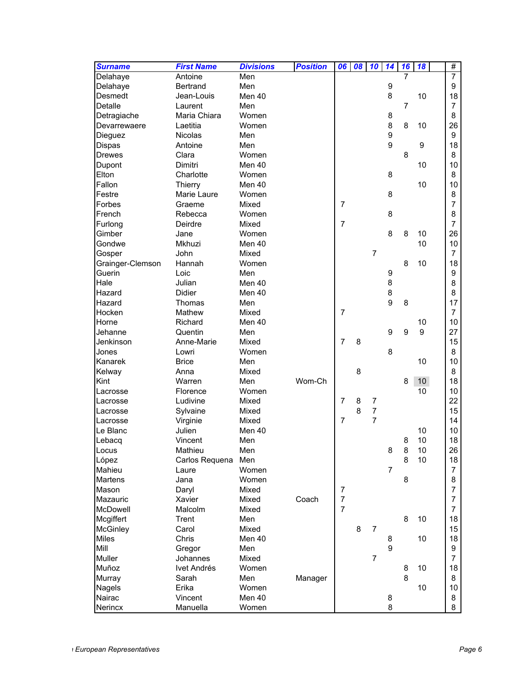| <b>Surname</b>   | <b>First Name</b> | <b>Divisions</b> | <b>Position</b> | 06             | 08 | 10             | $\overline{14}$  | 16             | 18              | #              |
|------------------|-------------------|------------------|-----------------|----------------|----|----------------|------------------|----------------|-----------------|----------------|
| Delahaye         | Antoine           | Men              |                 |                |    |                |                  | 7              |                 | $\overline{7}$ |
| Delahaye         | <b>Bertrand</b>   | Men              |                 |                |    |                | 9                |                |                 | 9              |
| Desmedt          | Jean-Louis        | Men 40           |                 |                |    |                | 8                |                | 10              | 18             |
| Detalle          | Laurent           | Men              |                 |                |    |                |                  | $\overline{7}$ |                 | $\overline{7}$ |
| Detragiache      | Maria Chiara      | Women            |                 |                |    |                | 8                |                |                 | 8              |
| Devarrewaere     | Laetitia          | Women            |                 |                |    |                | 8                | 8              | 10              | 26             |
| Dieguez          | <b>Nicolas</b>    | Men              |                 |                |    |                | $\boldsymbol{9}$ |                |                 | 9              |
| Dispas           | Antoine           | Men              |                 |                |    |                | 9                |                | 9               | 18             |
| <b>Drewes</b>    | Clara             | Women            |                 |                |    |                |                  | 8              |                 | 8              |
| Dupont           | Dimitri           | Men 40           |                 |                |    |                |                  |                | 10              | 10             |
| Elton            | Charlotte         | Women            |                 |                |    |                | 8                |                |                 | 8              |
| Fallon           | Thierry           | Men 40           |                 |                |    |                |                  |                | 10              | 10             |
| Festre           | Marie Laure       | Women            |                 |                |    |                | 8                |                |                 | 8              |
| Forbes           | Graeme            | Mixed            |                 | $\overline{7}$ |    |                |                  |                |                 | 7              |
| French           | Rebecca           | Women            |                 |                |    |                | 8                |                |                 | 8              |
| Furlong          | Deirdre           | Mixed            |                 | $\overline{7}$ |    |                |                  |                |                 | $\overline{7}$ |
| Gimber           | Jane              | Women            |                 |                |    |                | 8                | 8              | 10              | 26             |
| Gondwe           | Mkhuzi            | Men 40           |                 |                |    |                |                  |                | 10              | 10             |
| Gosper           | John              | Mixed            |                 |                |    | $\overline{7}$ |                  |                |                 | $\overline{7}$ |
| Grainger-Clemson | Hannah            | Women            |                 |                |    |                |                  | 8              | 10              | 18             |
| Guerin           | Loic              | Men              |                 |                |    |                | 9                |                |                 | 9              |
| Hale             | Julian            | Men 40           |                 |                |    |                | 8                |                |                 | 8              |
| Hazard           | <b>Didier</b>     | Men 40           |                 |                |    |                | 8                |                |                 | 8              |
| Hazard           | Thomas            | Men              |                 |                |    |                | 9                | 8              |                 | 17             |
| Hocken           | Mathew            | Mixed            |                 | $\overline{7}$ |    |                |                  |                |                 | $\overline{7}$ |
| Horne            | Richard           | Men 40           |                 |                |    |                |                  |                | 10              | 10             |
| Jehanne          | Quentin           | Men              |                 |                |    |                | 9                | 9              | 9               | 27             |
| Jenkinson        | Anne-Marie        | Mixed            |                 | $\overline{7}$ | 8  |                |                  |                |                 | 15             |
| Jones            | Lowri             | Women            |                 |                |    |                | 8                |                |                 | 8              |
| Kanarek          | <b>Brice</b>      | Men              |                 |                |    |                |                  |                | 10              | 10             |
| Kelway           | Anna              | Mixed            |                 |                | 8  |                |                  |                |                 | 8              |
| Kint             | Warren            | Men              | Wom-Ch          |                |    |                |                  | 8              | 10 <sup>°</sup> | 18             |
| Lacrosse         | Florence          | Women            |                 |                |    |                |                  |                | 10              | 10             |
| Lacrosse         | Ludivine          | Mixed            |                 | $\overline{7}$ | 8  | 7              |                  |                |                 | 22             |
| Lacrosse         | Sylvaine          | Mixed            |                 |                | 8  | $\overline{7}$ |                  |                |                 | 15             |
| Lacrosse         | Virginie          | Mixed            |                 | $\overline{7}$ |    | $\overline{7}$ |                  |                |                 | 14             |
| Le Blanc         | Julien            | Men 40           |                 |                |    |                |                  |                | 10              | 10             |
| Lebacq           | Vincent           | Men              |                 |                |    |                |                  | 8              | 10              | 18             |
| Locus            | Mathieu           | Men              |                 |                |    |                | 8                | 8              | $10$            | 26             |
| López            | Carlos Requena    | Men              |                 |                |    |                |                  | 8              | 10              | 18             |
| Mahieu           | Laure             | Women            |                 |                |    |                | $\overline{7}$   |                |                 | 7              |
| <b>Martens</b>   | Jana              | Women            |                 |                |    |                |                  | 8              |                 | 8              |
| Mason            | Daryl             | Mixed            |                 | $\overline{7}$ |    |                |                  |                |                 | 7              |
| Mazauric         | Xavier            | Mixed            | Coach           | $\overline{7}$ |    |                |                  |                |                 | $\overline{7}$ |
| McDowell         | Malcolm           | Mixed            |                 | $\overline{7}$ |    |                |                  |                |                 | 7              |
| Mcgiffert        | Trent             | Men              |                 |                |    |                |                  | 8              | 10              | 18             |
| McGinley         | Carol             | Mixed            |                 |                | 8  | $\overline{7}$ |                  |                |                 | 15             |
| Miles            | Chris             | Men 40           |                 |                |    |                | 8                |                | 10              | 18             |
| Mill             | Gregor            | Men              |                 |                |    |                | 9                |                |                 | 9              |
| Muller           | Johannes          | Mixed            |                 |                |    | $\overline{7}$ |                  |                |                 | 7              |
| Muñoz            | Ivet Andrés       | Women            |                 |                |    |                |                  | 8              | 10              | 18             |
| Murray           | Sarah             | Men              | Manager         |                |    |                |                  | 8              |                 | 8              |
| Nagels           | Erika             | Women            |                 |                |    |                |                  |                | 10              | 10             |
| Nairac           | Vincent           | Men 40           |                 |                |    |                | 8                |                |                 | 8              |
| Nerincx          | Manuella          | Women            |                 |                |    |                | 8                |                |                 | 8              |